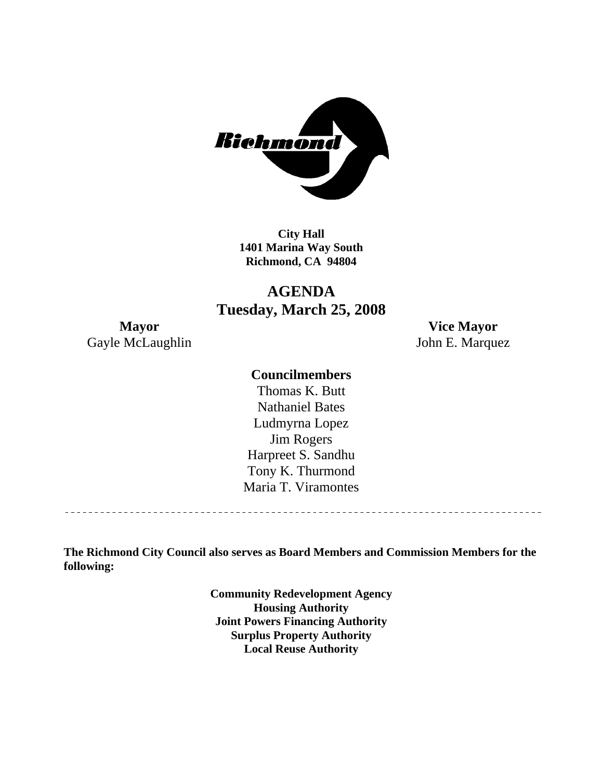

**City Hall 1401 Marina Way South Richmond, CA 94804** 

# **AGENDA Tuesday, March 25, 2008**

Gayle McLaughlin John E. Marquez

**Mayor Vice Mayor** 

#### **Councilmembers**

Harpreet S. Sandhu Tony K. Thurmond Maria T. Viramontes Thomas K. Butt Nathaniel Bates Ludmyrna Lopez Jim Rogers

**The Richmond City Council also serves as Board Members and Commission Members for the following:** 

> **Community Redevelopment Agency Housing Authority Joint Powers Financing Authority Surplus Property Authority Local Reuse Authority**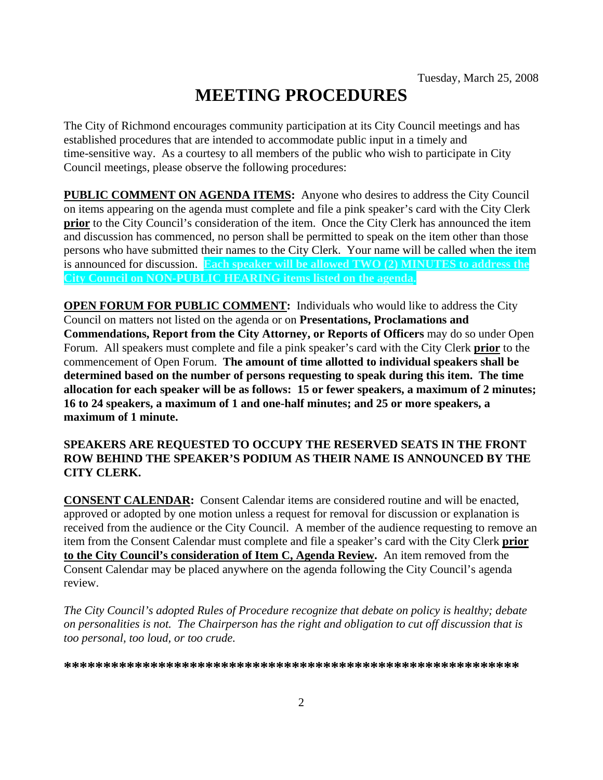# **MEETING PROCEDURES**

The City of Richmond encourages community participation at its City Council meetings and has established procedures that are intended to accommodate public input in a timely and time-sensitive way. As a courtesy to all members of the public who wish to participate in City Council meetings, please observe the following procedures:

**PUBLIC COMMENT ON AGENDA ITEMS:** Anyone who desires to address the City Council on items appearing on the agenda must complete and file a pink speaker's card with the City Clerk **prior** to the City Council's consideration of the item. Once the City Clerk has announced the item and discussion has commenced, no person shall be permitted to speak on the item other than those persons who have submitted their names to the City Clerk. Your name will be called when the item is announced for discussion. **Each speaker will be allowed TWO (2) MINUTES to address the City Council on NON-PUBLIC HEARING items listed on the agenda.** 

**OPEN FORUM FOR PUBLIC COMMENT:** Individuals who would like to address the City Council on matters not listed on the agenda or on **Presentations, Proclamations and Commendations, Report from the City Attorney, or Reports of Officers** may do so under Open Forum. All speakers must complete and file a pink speaker's card with the City Clerk **prior** to the commencement of Open Forum. **The amount of time allotted to individual speakers shall be determined based on the number of persons requesting to speak during this item. The time allocation for each speaker will be as follows: 15 or fewer speakers, a maximum of 2 minutes; 16 to 24 speakers, a maximum of 1 and one-half minutes; and 25 or more speakers, a maximum of 1 minute.** 

#### **SPEAKERS ARE REQUESTED TO OCCUPY THE RESERVED SEATS IN THE FRONT ROW BEHIND THE SPEAKER'S PODIUM AS THEIR NAME IS ANNOUNCED BY THE CITY CLERK.**

**CONSENT CALENDAR:** Consent Calendar items are considered routine and will be enacted, approved or adopted by one motion unless a request for removal for discussion or explanation is received from the audience or the City Council. A member of the audience requesting to remove an item from the Consent Calendar must complete and file a speaker's card with the City Clerk **prior to the City Council's consideration of Item C, Agenda Review.** An item removed from the Consent Calendar may be placed anywhere on the agenda following the City Council's agenda review.

*The City Council's adopted Rules of Procedure recognize that debate on policy is healthy; debate on personalities is not. The Chairperson has the right and obligation to cut off discussion that is too personal, too loud, or too crude.* 

**\*\*\*\*\*\*\*\*\*\*\*\*\*\*\*\*\*\*\*\*\*\*\*\*\*\*\*\*\*\*\*\*\*\*\*\*\*\*\*\*\*\*\*\*\*\*\*\*\*\*\*\*\*\*\*\*\*\***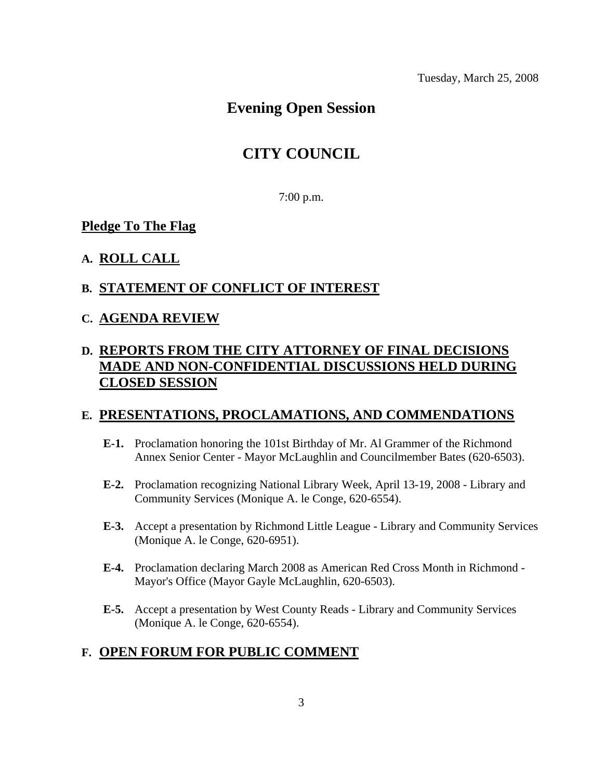# **Evening Open Session**

## **CITY COUNCIL**

7:00 p.m.

#### **Pledge To The Flag**

#### **A. ROLL CALL**

#### **B. STATEMENT OF CONFLICT OF INTEREST**

#### **C. AGENDA REVIEW**

### **D. REPORTS FROM THE CITY ATTORNEY OF FINAL DECISIONS MADE AND NON-CONFIDENTIAL DISCUSSIONS HELD DURING CLOSED SESSION**

#### **E. PRESENTATIONS, PROCLAMATIONS, AND COMMENDATIONS**

- **E-1.** Proclamation honoring the 101st Birthday of Mr. Al Grammer of the Richmond Annex Senior Center - Mayor McLaughlin and Councilmember Bates (620-6503).
- **E-2.** Proclamation recognizing National Library Week, April 13-19, 2008 Library and Community Services (Monique A. le Conge, 620-6554).
- **E-3.** Accept a presentation by Richmond Little League Library and Community Services (Monique A. le Conge, 620-6951).
- **E-4.** Proclamation declaring March 2008 as American Red Cross Month in Richmond Mayor's Office (Mayor Gayle McLaughlin, 620-6503).
- **E-5.** Accept a presentation by West County Reads Library and Community Services (Monique A. le Conge, 620-6554).

#### **F. OPEN FORUM FOR PUBLIC COMMENT**